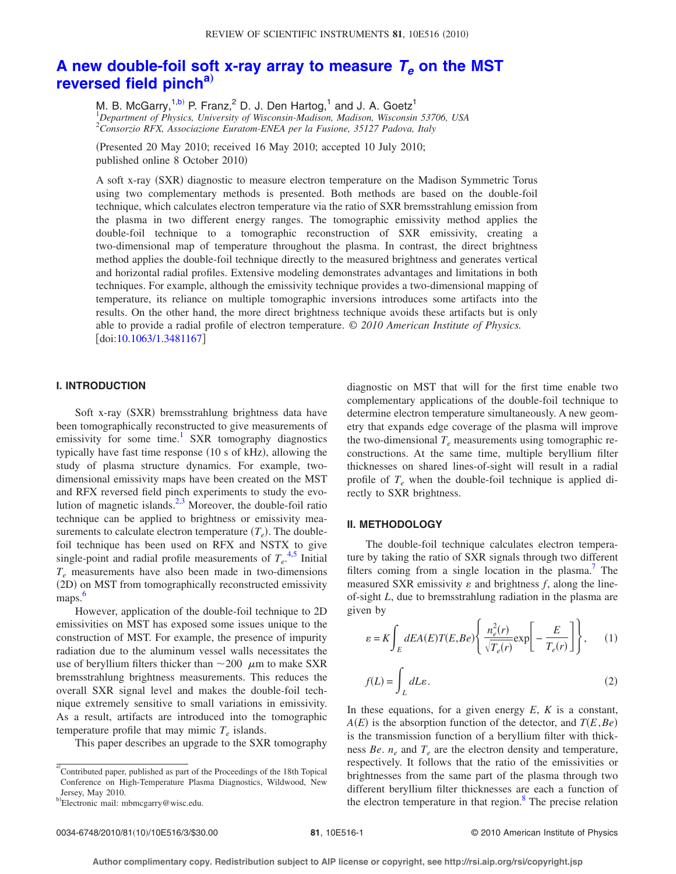# [A new double-foil soft x-ray array to measure](http://dx.doi.org/10.1063/1.3481167)  $T_e$  on the MST **[reversed field pinch](http://dx.doi.org/10.1063/1.3481167)[a](#page-0-0)**…

M. B. McGarry,<sup>1[,b](#page-0-1))</sup> P. Franz,<sup>2</sup> D. J. Den Hartog,<sup>1</sup> and J. A. Goetz<sup>1</sup> 1 *Department of Physics, University of Wisconsin-Madison, Madison, Wisconsin 53706, USA* 2 *Consorzio RFX, Associazione Euratom-ENEA per la Fusione, 35127 Padova, Italy*

(Presented 20 May 2010; received 16 May 2010; accepted 10 July 2010; published online 8 October 2010)

A soft x-ray (SXR) diagnostic to measure electron temperature on the Madison Symmetric Torus using two complementary methods is presented. Both methods are based on the double-foil technique, which calculates electron temperature via the ratio of SXR bremsstrahlung emission from the plasma in two different energy ranges. The tomographic emissivity method applies the double-foil technique to a tomographic reconstruction of SXR emissivity, creating a two-dimensional map of temperature throughout the plasma. In contrast, the direct brightness method applies the double-foil technique directly to the measured brightness and generates vertical and horizontal radial profiles. Extensive modeling demonstrates advantages and limitations in both techniques. For example, although the emissivity technique provides a two-dimensional mapping of temperature, its reliance on multiple tomographic inversions introduces some artifacts into the results. On the other hand, the more direct brightness technique avoids these artifacts but is only able to provide a radial profile of electron temperature. *© 2010 American Institute of Physics.*  $\left[$ doi[:10.1063/1.3481167](http://dx.doi.org/10.1063/1.3481167) $\right]$ 

## **I. INTRODUCTION**

Soft x-ray (SXR) bremsstrahlung brightness data have been tomographically reconstructed to give measurements of emissivity for some time.<sup>1</sup> SXR tomography diagnostics typically have fast time response (10 s of kHz), allowing the study of plasma structure dynamics. For example, twodimensional emissivity maps have been created on the MST and RFX reversed field pinch experiments to study the evo-lution of magnetic islands.<sup>2[,3](#page-2-2)</sup> Moreover, the double-foil ratio technique can be applied to brightness or emissivity measurements to calculate electron temperature  $(T_e)$ . The doublefoil technique has been used on RFX and NSTX to give single-point and radial profile measurements of  $T_e^{4,5}$  $T_e^{4,5}$  $T_e^{4,5}$  $T_e^{4,5}$  Initial *Te* measurements have also been made in two-dimensions (2D) on MST from tomographically reconstructed emissivity maps. [6](#page-2-5)

However, application of the double-foil technique to 2D emissivities on MST has exposed some issues unique to the construction of MST. For example, the presence of impurity radiation due to the aluminum vessel walls necessitates the use of beryllium filters thicker than  $\sim$  200  $\,\mu$ m to make SXR bremsstrahlung brightness measurements. This reduces the overall SXR signal level and makes the double-foil technique extremely sensitive to small variations in emissivity. As a result, artifacts are introduced into the tomographic temperature profile that may mimic  $T_e$  islands.

This paper describes an upgrade to the SXR tomography

diagnostic on MST that will for the first time enable two complementary applications of the double-foil technique to determine electron temperature simultaneously. A new geometry that expands edge coverage of the plasma will improve the two-dimensional  $T_e$  measurements using tomographic reconstructions. At the same time, multiple beryllium filter thicknesses on shared lines-of-sight will result in a radial profile of  $T_e$  when the double-foil technique is applied directly to SXR brightness.

#### **II. METHODOLOGY**

The double-foil technique calculates electron temperature by taking the ratio of SXR signals through two different filters coming from a single location in the plasma.<sup>7</sup> The measured SXR emissivity  $\varepsilon$  and brightness  $f$ , along the lineof-sight *L*, due to bremsstrahlung radiation in the plasma are given by

$$
\varepsilon = K \int_{E} dE A(E) T(E, Be) \left\{ \frac{n_e^2(r)}{\sqrt{T_e(r)}} \exp\left[-\frac{E}{T_e(r)}\right] \right\}, \qquad (1)
$$

$$
f(L) = \int_{L} dL\varepsilon.
$$
 (2)

In these equations, for a given energy *E*, *K* is a constant,  $A(E)$  is the absorption function of the detector, and  $T(E, Be)$ is the transmission function of a beryllium filter with thickness  $Be$ .  $n_e$  and  $T_e$  are the electron density and temperature, respectively. It follows that the ratio of the emissivities or brightnesses from the same part of the plasma through two different beryllium filter thicknesses are each a function of the electron temperature in that region.<sup>8</sup> The precise relation

<span id="page-0-0"></span><sup>&</sup>lt;sup>a)</sup> Contributed paper, published as part of the Proceedings of the 18th Topical Conference on High-Temperature Plasma Diagnostics, Wildwood, New Jersey, May 2010.

<span id="page-0-1"></span>b)Electronic mail: mbmcgarry@wisc.edu.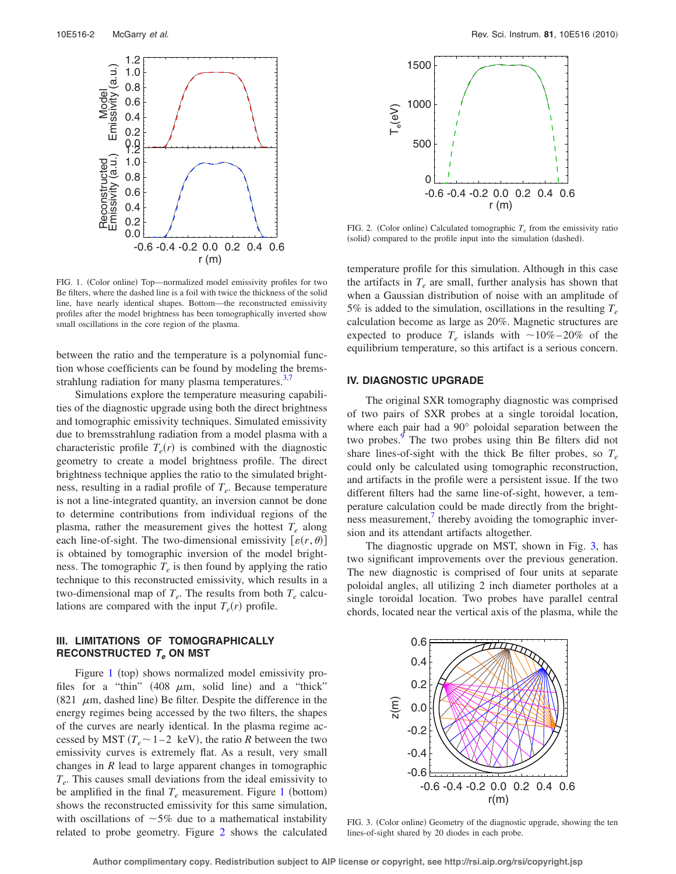<span id="page-1-0"></span>

FIG. 1. (Color online) Top—normalized model emissivity profiles for two Be filters, where the dashed line is a foil with twice the thickness of the solid line, have nearly identical shapes. Bottom—the reconstructed emissivity profiles after the model brightness has been tomographically inverted show small oscillations in the core region of the plasma.

between the ratio and the temperature is a polynomial function whose coefficients can be found by modeling the bremsstrahlung radiation for many plasma temperatures. $3,7$  $3,7$ 

Simulations explore the temperature measuring capabilities of the diagnostic upgrade using both the direct brightness and tomographic emissivity techniques. Simulated emissivity due to bremsstrahlung radiation from a model plasma with a characteristic profile  $T_e(r)$  is combined with the diagnostic geometry to create a model brightness profile. The direct brightness technique applies the ratio to the simulated brightness, resulting in a radial profile of  $T_e$ . Because temperature is not a line-integrated quantity, an inversion cannot be done to determine contributions from individual regions of the plasma, rather the measurement gives the hottest  $T_e$  along each line-of-sight. The two-dimensional emissivity  $[\varepsilon(r, \theta)]$ is obtained by tomographic inversion of the model brightness. The tomographic  $T_e$  is then found by applying the ratio technique to this reconstructed emissivity, which results in a two-dimensional map of  $T_e$ . The results from both  $T_e$  calculations are compared with the input  $T_e(r)$  profile.

# **III. LIMITATIONS OF TOMOGRAPHICALLY RECONSTRUCTED Te ON MST**

Figure  $1$  (top) shows normalized model emissivity profiles for a "thin"  $(408 \mu m, \text{ solid line})$  and a "thick" (821  $\mu$ m, dashed line) Be filter. Despite the difference in the energy regimes being accessed by the two filters, the shapes of the curves are nearly identical. In the plasma regime accessed by MST  $(T_e \sim 1-2 \text{ keV})$ , the ratio *R* between the two emissivity curves is extremely flat. As a result, very small changes in *R* lead to large apparent changes in tomographic *Te*. This causes small deviations from the ideal emissivity to be amplified in the final  $T_e$  measurement. Figure [1](#page-1-0) (bottom) shows the reconstructed emissivity for this same simulation, with oscillations of  $~5\%$  due to a mathematical instability related to probe geometry. Figure [2](#page-1-1) shows the calculated

<span id="page-1-1"></span>

FIG. 2. (Color online) Calculated tomographic  $T_e$  from the emissivity ratio (solid) compared to the profile input into the simulation (dashed).

temperature profile for this simulation. Although in this case the artifacts in  $T_e$  are small, further analysis has shown that when a Gaussian distribution of noise with an amplitude of 5% is added to the simulation, oscillations in the resulting  $T_e$ calculation become as large as 20%. Magnetic structures are expected to produce  $T_e$  islands with  $\sim 10\% - 20\%$  of the equilibrium temperature, so this artifact is a serious concern.

### **IV. DIAGNOSTIC UPGRADE**

The original SXR tomography diagnostic was comprised of two pairs of SXR probes at a single toroidal location, where each pair had a 90° poloidal separation between the two probes.<sup>9</sup> The two probes using thin Be filters did not share lines-of-sight with the thick Be filter probes, so  $T_e$ could only be calculated using tomographic reconstruction, and artifacts in the profile were a persistent issue. If the two different filters had the same line-of-sight, however, a temperature calculation could be made directly from the brightness measurement,<sup>7</sup> thereby avoiding the tomographic inversion and its attendant artifacts altogether.

The diagnostic upgrade on MST, shown in Fig. [3,](#page-1-2) has two significant improvements over the previous generation. The new diagnostic is comprised of four units at separate poloidal angles, all utilizing 2 inch diameter portholes at a single toroidal location. Two probes have parallel central chords, located near the vertical axis of the plasma, while the

<span id="page-1-2"></span>

FIG. 3. (Color online) Geometry of the diagnostic upgrade, showing the ten lines-of-sight shared by 20 diodes in each probe.